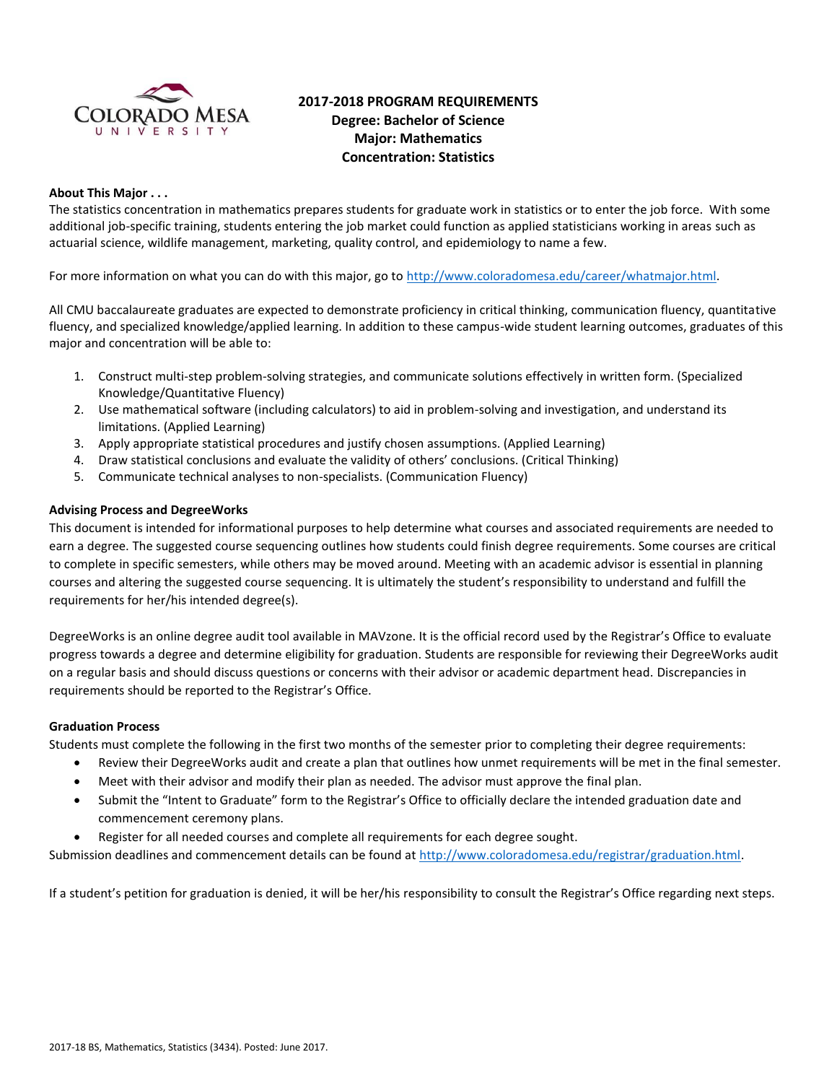

# **2017-2018 PROGRAM REQUIREMENTS Degree: Bachelor of Science Major: Mathematics Concentration: Statistics**

#### **About This Major . . .**

The statistics concentration in mathematics prepares students for graduate work in statistics or to enter the job force. With some additional job-specific training, students entering the job market could function as applied statisticians working in areas such as actuarial science, wildlife management, marketing, quality control, and epidemiology to name a few.

For more information on what you can do with this major, go to [http://www.coloradomesa.edu/career/whatmajor.html.](http://www.coloradomesa.edu/career/whatmajor.html)

All CMU baccalaureate graduates are expected to demonstrate proficiency in critical thinking, communication fluency, quantitative fluency, and specialized knowledge/applied learning. In addition to these campus-wide student learning outcomes, graduates of this major and concentration will be able to:

- 1. Construct multi-step problem-solving strategies, and communicate solutions effectively in written form. (Specialized Knowledge/Quantitative Fluency)
- 2. Use mathematical software (including calculators) to aid in problem-solving and investigation, and understand its limitations. (Applied Learning)
- 3. Apply appropriate statistical procedures and justify chosen assumptions. (Applied Learning)
- 4. Draw statistical conclusions and evaluate the validity of others' conclusions. (Critical Thinking)
- 5. Communicate technical analyses to non-specialists. (Communication Fluency)

#### **Advising Process and DegreeWorks**

This document is intended for informational purposes to help determine what courses and associated requirements are needed to earn a degree. The suggested course sequencing outlines how students could finish degree requirements. Some courses are critical to complete in specific semesters, while others may be moved around. Meeting with an academic advisor is essential in planning courses and altering the suggested course sequencing. It is ultimately the student's responsibility to understand and fulfill the requirements for her/his intended degree(s).

DegreeWorks is an online degree audit tool available in MAVzone. It is the official record used by the Registrar's Office to evaluate progress towards a degree and determine eligibility for graduation. Students are responsible for reviewing their DegreeWorks audit on a regular basis and should discuss questions or concerns with their advisor or academic department head. Discrepancies in requirements should be reported to the Registrar's Office.

#### **Graduation Process**

Students must complete the following in the first two months of the semester prior to completing their degree requirements:

- Review their DegreeWorks audit and create a plan that outlines how unmet requirements will be met in the final semester.
- Meet with their advisor and modify their plan as needed. The advisor must approve the final plan.
- Submit the "Intent to Graduate" form to the Registrar's Office to officially declare the intended graduation date and commencement ceremony plans.
- Register for all needed courses and complete all requirements for each degree sought.

Submission deadlines and commencement details can be found at [http://www.coloradomesa.edu/registrar/graduation.html.](http://www.coloradomesa.edu/registrar/graduation.html)

If a student's petition for graduation is denied, it will be her/his responsibility to consult the Registrar's Office regarding next steps.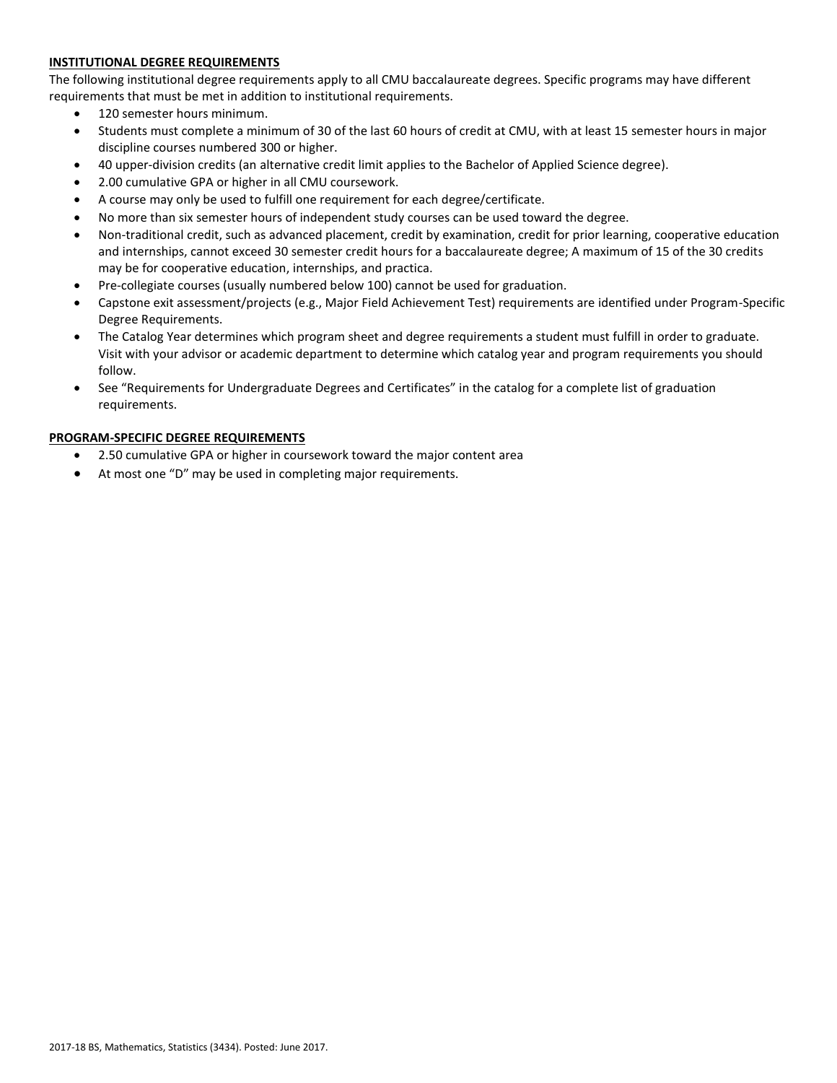# **INSTITUTIONAL DEGREE REQUIREMENTS**

The following institutional degree requirements apply to all CMU baccalaureate degrees. Specific programs may have different requirements that must be met in addition to institutional requirements.

- 120 semester hours minimum.
- Students must complete a minimum of 30 of the last 60 hours of credit at CMU, with at least 15 semester hours in major discipline courses numbered 300 or higher.
- 40 upper-division credits (an alternative credit limit applies to the Bachelor of Applied Science degree).
- 2.00 cumulative GPA or higher in all CMU coursework.
- A course may only be used to fulfill one requirement for each degree/certificate.
- No more than six semester hours of independent study courses can be used toward the degree.
- Non-traditional credit, such as advanced placement, credit by examination, credit for prior learning, cooperative education and internships, cannot exceed 30 semester credit hours for a baccalaureate degree; A maximum of 15 of the 30 credits may be for cooperative education, internships, and practica.
- Pre-collegiate courses (usually numbered below 100) cannot be used for graduation.
- Capstone exit assessment/projects (e.g., Major Field Achievement Test) requirements are identified under Program-Specific Degree Requirements.
- The Catalog Year determines which program sheet and degree requirements a student must fulfill in order to graduate. Visit with your advisor or academic department to determine which catalog year and program requirements you should follow.
- See "Requirements for Undergraduate Degrees and Certificates" in the catalog for a complete list of graduation requirements.

# **PROGRAM-SPECIFIC DEGREE REQUIREMENTS**

- 2.50 cumulative GPA or higher in coursework toward the major content area
- At most one "D" may be used in completing major requirements.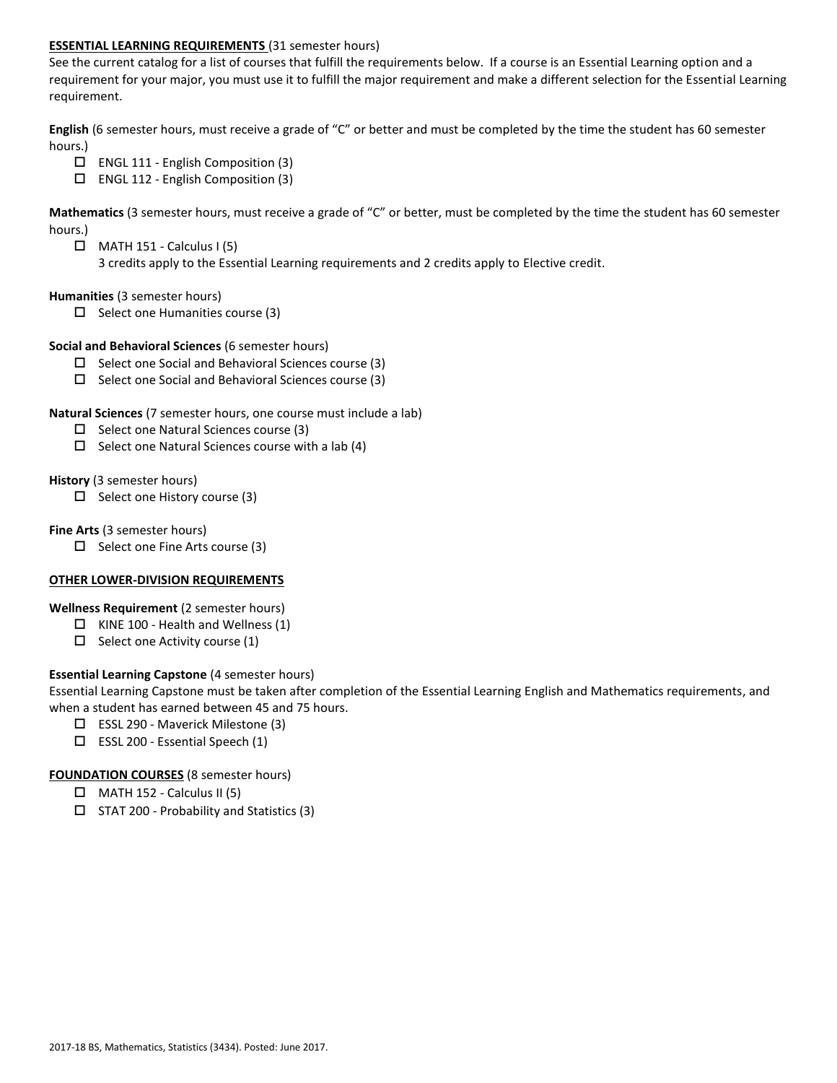### **ESSENTIAL LEARNING REQUIREMENTS** (31 semester hours)

See the current catalog for a list of courses that fulfill the requirements below. If a course is an Essential Learning option and a requirement for your major, you must use it to fulfill the major requirement and make a different selection for the Essential Learning requirement.

**English** (6 semester hours, must receive a grade of "C" or better and must be completed by the time the student has 60 semester hours.)

- ENGL 111 English Composition (3)
- ENGL 112 English Composition (3)

**Mathematics** (3 semester hours, must receive a grade of "C" or better, must be completed by the time the student has 60 semester hours.)

- $\Box$  MATH 151 Calculus I (5)
	- 3 credits apply to the Essential Learning requirements and 2 credits apply to Elective credit.

#### **Humanities** (3 semester hours)

 $\Box$  Select one Humanities course (3)

#### **Social and Behavioral Sciences** (6 semester hours)

- $\square$  Select one Social and Behavioral Sciences course (3)
- $\square$  Select one Social and Behavioral Sciences course (3)

#### **Natural Sciences** (7 semester hours, one course must include a lab)

- $\Box$  Select one Natural Sciences course (3)
- $\Box$  Select one Natural Sciences course with a lab (4)

#### **History** (3 semester hours)

 $\Box$  Select one History course (3)

#### **Fine Arts** (3 semester hours)

 $\Box$  Select one Fine Arts course (3)

# **OTHER LOWER-DIVISION REQUIREMENTS**

# **Wellness Requirement** (2 semester hours)

- $\Box$  KINE 100 Health and Wellness (1)
- $\Box$  Select one Activity course (1)

# **Essential Learning Capstone** (4 semester hours)

Essential Learning Capstone must be taken after completion of the Essential Learning English and Mathematics requirements, and when a student has earned between 45 and 75 hours.

- $\Box$  ESSL 290 Maverick Milestone (3)
- $\square$  ESSL 200 Essential Speech (1)

# **FOUNDATION COURSES** (8 semester hours)

- $\Box$  MATH 152 Calculus II (5)
- $\square$  STAT 200 Probability and Statistics (3)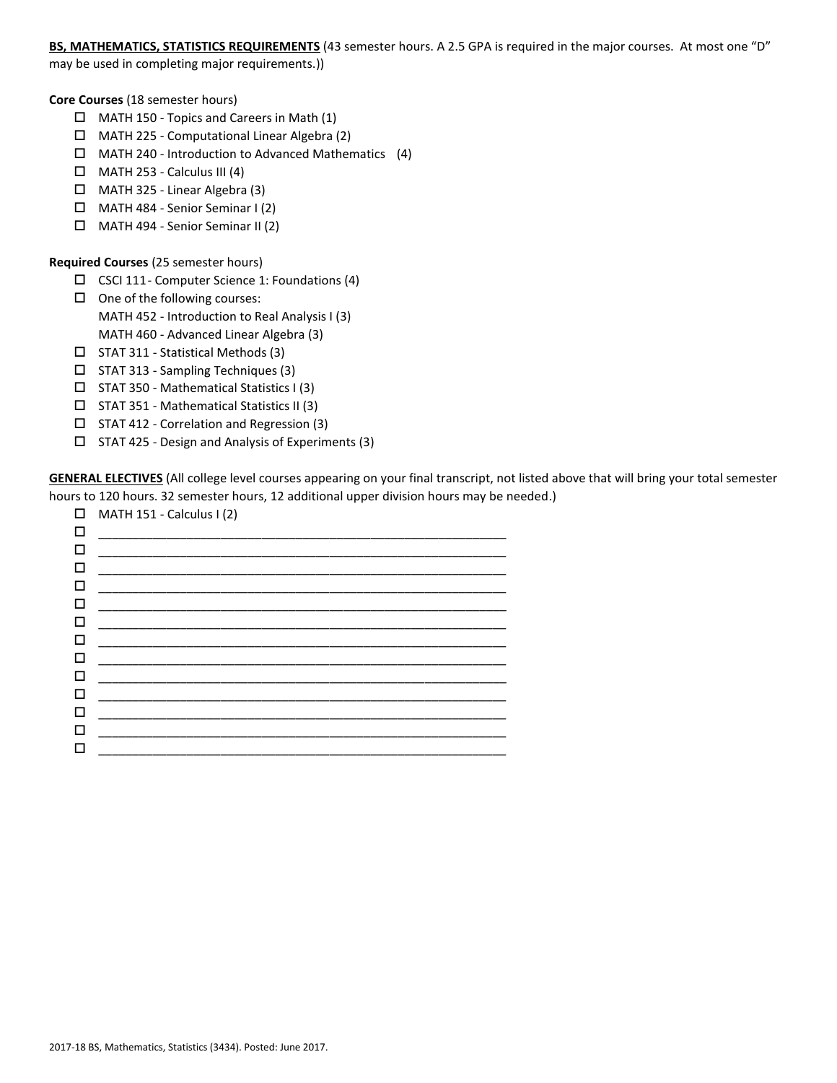# **BS, MATHEMATICS, STATISTICS REQUIREMENTS** (43 semester hours. A 2.5 GPA is required in the major courses. At most one "D"

may be used in completing major requirements.))

**Core Courses** (18 semester hours)

- $\Box$  MATH 150 Topics and Careers in Math (1)
- MATH 225 Computational Linear Algebra (2)
- $\Box$  MATH 240 Introduction to Advanced Mathematics (4)
- $\Box$  MATH 253 Calculus III (4)
- $\Box$  MATH 325 Linear Algebra (3)
- MATH 484 Senior Seminar I (2)
- MATH 494 Senior Seminar II (2)

### **Required Courses** (25 semester hours)

- $\Box$  CSCI 111- Computer Science 1: Foundations (4)
- $\Box$  One of the following courses: MATH 452 - Introduction to Real Analysis I (3) MATH 460 - Advanced Linear Algebra (3)
- $\Box$  STAT 311 Statistical Methods (3)
- $\Box$  STAT 313 Sampling Techniques (3)
- $\square$  STAT 350 Mathematical Statistics I (3)
- $\square$  STAT 351 Mathematical Statistics II (3)
- STAT 412 Correlation and Regression (3)
- $\square$  STAT 425 Design and Analysis of Experiments (3)

**GENERAL ELECTIVES** (All college level courses appearing on your final transcript, not listed above that will bring your total semester hours to 120 hours. 32 semester hours, 12 additional upper division hours may be needed.)

| $\Box$       | MATH 151 - Calculus I (2)                                                                                              |
|--------------|------------------------------------------------------------------------------------------------------------------------|
| $\mathbf{L}$ | <u> 1989 - Johann Stoff, Amerikaansk politiker (</u>                                                                   |
| П            | <u> 1989 - Johann John Stone, mars et al. 1989 - John Stone, mars et al. 1989 - John Stone, mars et al. 1989 - Joh</u> |
|              |                                                                                                                        |
| $\mathbf{L}$ | <u> 1989 - Johann John Stone, mars eta bat eta bat eta bat eta bat eta bat eta bat eta bat eta bat eta bat eta b</u>   |
|              |                                                                                                                        |
| П            |                                                                                                                        |
| П            | <u> 1989 - Jan James James James James James James James James James James James James James James James James J</u>   |
|              |                                                                                                                        |
| П            |                                                                                                                        |
| П            | <u> 1989 - Johann John Stone, Amerikaansk politiker (* 1918)</u>                                                       |
|              |                                                                                                                        |
|              |                                                                                                                        |
|              |                                                                                                                        |